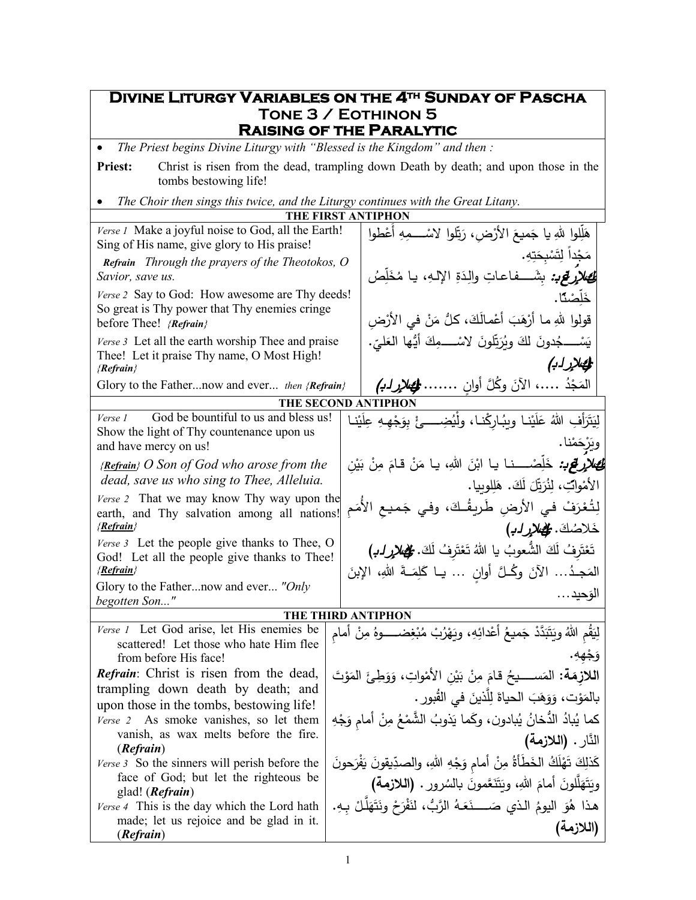## **Divine Liturgy Variables on the 4th Sunday of Pascha Tone 3 / Eothinon 5 Raising of the Paralytic**

• *The Priest begins Divine Liturgy with "Blessed is the Kingdom" and then :*

Priest: Christ is risen from the dead, trampling down Death by death; and upon those in the tombs bestowing life!

• *The Choir then sings this twice, and the Liturgy continues with the Great Litany.*

| THE FIRST ANTIPHON                                                                                                        |  |                                                                                                                                    |  |  |  |  |
|---------------------------------------------------------------------------------------------------------------------------|--|------------------------------------------------------------------------------------------------------------------------------------|--|--|--|--|
| Verse 1 Make a joyful noise to God, all the Earth!<br>Sing of His name, give glory to His praise!                         |  | هَلِّلوا للهِ يا جَميعَ الأرْضِ، رَبِّلوا لاسْـــــمِهِ أَعْطوا                                                                    |  |  |  |  |
| Refrain Through the prayers of the Theotokos, O<br>Savior, save us.                                                       |  | مَجْداً لِتَسْبِحَتِهِ.<br><b>لئ للأرقع:</b> بِشَـــفاعاتِ والِدَةِ الإلـهِ، يـا مُخَلِّصُ                                         |  |  |  |  |
| Verse 2 Say to God: How awesome are Thy deeds!<br>So great is Thy power that Thy enemies cringe<br>before Thee! {Refrain} |  | خَلَّصْنًا.<br>قولوا للهِ ما أَرْهَبَ أَعْمالَكَ، كلُّ مَنْ في الأَرْضِ                                                            |  |  |  |  |
| Verse 3 Let all the earth worship Thee and praise<br>Thee! Let it praise Thy name, O Most High!<br>${Refrain}$            |  | يَسْـــــجُدونَ لَكَ ويُرَتِّلونَ لاسْـــــمِكَ أَيُّها العَليِّ.<br>الم الإلزابي                                                  |  |  |  |  |
| Glory to the Fathernow and ever then {Refrain}                                                                            |  | المَجْدُ …، الآنَ وكُلَّ أوان …… <del>ال</del> ِهَ <i>الإرابُ</i> )                                                                |  |  |  |  |
|                                                                                                                           |  | THE SECOND ANTIPHON                                                                                                                |  |  |  |  |
| God be bountiful to us and bless us!<br>Verse 1<br>Show the light of Thy countenance upon us                              |  | لِيَتَرَأفِ اللهُ عَلَيْنا ويبُارِكْنا، ولْيُضِــــئْ بِوَجْهِـهِ عِلَيْن<br>ويَرْحَمْنا.                                          |  |  |  |  |
| and have mercy on us!                                                                                                     |  |                                                                                                                                    |  |  |  |  |
| $\{Refrain\}$ O Son of God who arose from the<br>dead, save us who sing to Thee, Alleluia.                                |  | <i>لِهِ الإِرْ<b>قِي:</b> خَ</i> لِّصْـــنا يا ابْنَ اللهِ، يا مَنْ قامَ مِنْ بَيْنِ<br>الأَمْوابِّ، لِنُرَبِّلَ لَكَ. هَلِلوبِيا. |  |  |  |  |
| Verse 2 That we may know Thy way upon the<br>earth, and Thy salvation among all nations!<br>{Refrain}                     |  | لِتُعْرَفْ في الأرضِ طَرِيقُكَ، وفي جَميع الأمَم                                                                                   |  |  |  |  |
| Verse 3 Let the people give thanks to Thee, O                                                                             |  | خَلاصُكَ. <del>وَلِ</del> هَلارٍ لـهِ)                                                                                             |  |  |  |  |
| God! Let all the people give thanks to Thee!<br>{Refrain}                                                                 |  | تَعْتَرِفُ لَكَ الشَّعوبُ يا اللهُ تَعْتَرِفُ لَكَ. مُلْحِ <i>مِلارِ ل</i> ـب <i>)</i>                                             |  |  |  |  |
| Glory to the Fathernow and ever "Only                                                                                     |  | المَجِدُ الآنَ وكُلَّ أُوانٍ  يـا كَلِمَــةَ اللهِ، الإِبنَ                                                                        |  |  |  |  |
| begotten Son"                                                                                                             |  | الوَحيد                                                                                                                            |  |  |  |  |
| THE THIRD ANTIPHON                                                                                                        |  |                                                                                                                                    |  |  |  |  |
| Verse 1 Let God arise, let His enemies be                                                                                 |  | لِيَقُم اللَّهُ وَيَتَبَدَّدْ جَميعُ أعْدائِهِ، ويَهْرُبْ مُبْغِضـــــوهُ مِنْ أمام                                                |  |  |  |  |
| scattered! Let those who hate Him flee<br>from before His face!                                                           |  | وَجْهِهِ.                                                                                                                          |  |  |  |  |
| <b>Refrain:</b> Christ is risen from the dead,                                                                            |  | اللازمَة: المَســــيحُ قامَ مِنْ بَيْنِ الأَمْواتِ، وَوَطِئَ المَوْتَ                                                              |  |  |  |  |
| trampling down death by death; and                                                                                        |  | بالمَوْت، وَوَهَبَ الحياةَ لِلَّذينَ في القُبورِ .                                                                                 |  |  |  |  |
| upon those in the tombs, bestowing life!                                                                                  |  |                                                                                                                                    |  |  |  |  |
| Verse 2 As smoke vanishes, so let them<br>vanish, as wax melts before the fire.                                           |  | كما يُبادُ الدُّخانُ يُبادون، وكَما يَذوبُ الشَّمْعُ مِنْ أمامِ وَجْهِ                                                             |  |  |  |  |
| (Refrain)                                                                                                                 |  | النَّارِ . (اللازمة)                                                                                                               |  |  |  |  |
| <i>Verse</i> 3 So the sinners will perish before the                                                                      |  | كَذلِكَ تَهْلَكُ الخَطَأَةُ مِنْ أمامٍ وَجْهِ اللهِ، والصدِّيقونَ يَفْرَحونَ                                                       |  |  |  |  |
| face of God; but let the righteous be<br>glad! ( <i>Refrain</i> )                                                         |  | ويَتَهَلَّلُونَ أَمامَ اللهِ، ويَتَنَعَّمونَ بالسُرورِ . (اللازمة)                                                                 |  |  |  |  |
| Verse 4 This is the day which the Lord hath                                                                               |  | هذا هُوَ اليومُ الذي صَـــــنَعَـهُ الرَّبُّ، لنَفْرَحْ ونَتَهَلَّـلْ بِـهِ.                                                       |  |  |  |  |
| made; let us rejoice and be glad in it.<br>(Refrain)                                                                      |  | (اللازمة)                                                                                                                          |  |  |  |  |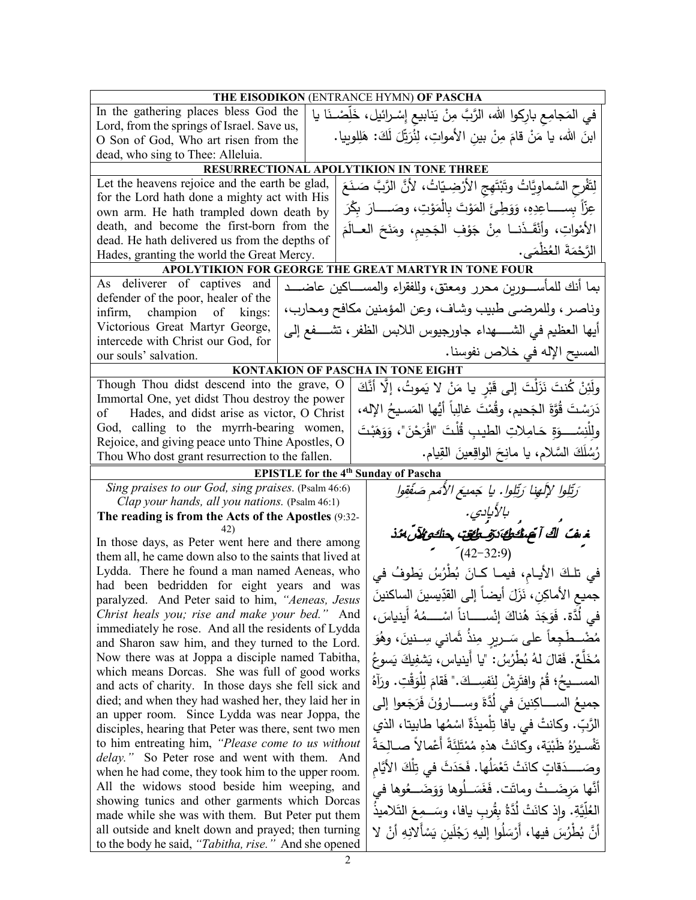| THE EISODIKON (ENTRANCE HYMN) OF PASCHA                                                                  |  |                                                                     |                                                                              |  |  |
|----------------------------------------------------------------------------------------------------------|--|---------------------------------------------------------------------|------------------------------------------------------------------------------|--|--|
| In the gathering places bless God the                                                                    |  |                                                                     | في المَجامِع بارِكوا الله، الرَّبَّ مِنْ يَنابيع إِسْـرائيل، خَلِّصْـنَا يا  |  |  |
| Lord, from the springs of Israel. Save us,                                                               |  |                                                                     |                                                                              |  |  |
| O Son of God, Who art risen from the                                                                     |  |                                                                     | ابنَ الله، يا مَنْ قامَ مِنْ بينِ الأمواتِ، لِنُرَيِّلَ لَكَ: هَلِلوبِيا.    |  |  |
| dead, who sing to Thee: Alleluia.                                                                        |  |                                                                     |                                                                              |  |  |
|                                                                                                          |  |                                                                     | RESURRECTIONAL APOLYTIKION IN TONE THREE                                     |  |  |
| Let the heavens rejoice and the earth be glad,                                                           |  |                                                                     | لِتَفْرِحِ السَّماوِيَّاتُ وتَبْتَهِجِ الأَرْضِيّاتُ، لأَنَّ الرَّبَّ صَنَعَ |  |  |
| for the Lord hath done a mighty act with His                                                             |  |                                                                     | عِزّاً بِســــاعِدِهِ، وَوَطِئَ المَوْتَ بِالْمَوْتِ، وصَـــــارَ بِكْرَ     |  |  |
| own arm. He hath trampled down death by                                                                  |  |                                                                     |                                                                              |  |  |
| death, and become the first-born from the                                                                |  |                                                                     | الأَمْواتِ، وأَنْقَـٰذَنــا مِنْ جَوْفِ الْجَحِيم، ومَنَحَ الْعــالَمَ       |  |  |
| dead. He hath delivered us from the depths of                                                            |  |                                                                     | الرَّحْمَةَ العُظْمَى.                                                       |  |  |
| Hades, granting the world the Great Mercy.                                                               |  |                                                                     | APOLYTIKION FOR GEORGE THE GREAT MARTYR IN TONE FOUR                         |  |  |
| As deliverer of captives and                                                                             |  |                                                                     |                                                                              |  |  |
| defender of the poor, healer of the                                                                      |  |                                                                     | بما أنك للمأســــورين محرر ومعتق، وللفقراء والمســــاكين عاضــــد            |  |  |
| infirm, champion of kings:                                                                               |  |                                                                     | وناصر ، وللمرضى طبيب وشاف، وعن المؤمنين مكافح ومحارب،                        |  |  |
| Victorious Great Martyr George,                                                                          |  |                                                                     | أيها العظيم في الشـــــهداء جاورجيوس اللابس الظفر ، تشــــفع إلى             |  |  |
| intercede with Christ our God, for                                                                       |  |                                                                     |                                                                              |  |  |
| our souls' salvation.                                                                                    |  |                                                                     | المسيح الإله في خلاص نفوسنا.                                                 |  |  |
|                                                                                                          |  |                                                                     | <b>KONTAKION OF PASCHA IN TONE EIGHT</b>                                     |  |  |
| Though Thou didst descend into the grave, O                                                              |  |                                                                     | ولَئِنْ كُنتَ نَزَلْتَ إِلَى قَبْرِ يا مَنْ لا يَموتُ، إِلَّا أَنَّكَ        |  |  |
| Immortal One, yet didst Thou destroy the power                                                           |  |                                                                     | دَرَسْتَ قُوَّةَ الجَحيمِ، وقُمْتَ غالِباً أيُّها المَسيحُ الإله،            |  |  |
| Hades, and didst arise as victor, O Christ<br>of                                                         |  |                                                                     |                                                                              |  |  |
| God, calling to the myrrh-bearing women,                                                                 |  |                                                                     | ولِلْنِسْــــوَةِ حَـامِـلاتِ الطيبِ قُلْتَ "افْرَحْنَ"، وَوَهَبْتَ          |  |  |
| Rejoice, and giving peace unto Thine Apostles, O                                                         |  |                                                                     | رُسُلَكَ السَّلامِ، يا مانِحَ الواقِعينَ القِيامِ.                           |  |  |
| Thou Who dost grant resurrection to the fallen.                                                          |  |                                                                     |                                                                              |  |  |
| Sing praises to our God, sing praises. (Psalm 46:6)                                                      |  |                                                                     | <b>EPISTLE</b> for the 4 <sup>th</sup> Sunday of Pascha                      |  |  |
| Clap your hands, all you nations. (Psalm 46:1)                                                           |  |                                                                     | رَتِّلِوا لإِلَهِنا رَتِّلِوا. يا جَميعَ الأَمَم صَفَّقِوا                   |  |  |
| The reading is from the Acts of the Apostles (9:32-                                                      |  | بالأيادي.                                                           |                                                                              |  |  |
| 42)                                                                                                      |  | خە <i>ڭ اڭ آچىڭكىڭ تۆمۈقىت چىكوپىلآن بى</i> ن                       |                                                                              |  |  |
| In those days, as Peter went here and there among                                                        |  |                                                                     |                                                                              |  |  |
| them all, he came down also to the saints that lived at                                                  |  | $(42 - 32.9)$                                                       |                                                                              |  |  |
| Lydda. There he found a man named Aeneas, who                                                            |  |                                                                     | في تلكَ الأيـام، فيمـا كـانَ بُطْرُسُ يَطوفُ في                              |  |  |
| had been bedridden for eight years and was                                                               |  |                                                                     | جميعِ الأماكِنِ، نَزَلَ أيضاً إلى القدِّيسينَ الساكنينَ                      |  |  |
| paralyzed. And Peter said to him, "Aeneas, Jesus                                                         |  |                                                                     |                                                                              |  |  |
| Christ heals you; rise and make your bed."<br>And<br>immediately he rose. And all the residents of Lydda |  |                                                                     | في لَدَّة. فَوَجَدَ هُناكَ إِنْســــاناً اسْــــمُهُ أينياسَ،                |  |  |
| and Sharon saw him, and they turned to the Lord.                                                         |  |                                                                     | مُضْــطَجِعاً على سَــريرِ مِنذُ ثَمانـي سِــنينَ، وهُوَ                     |  |  |
| Now there was at Joppa a disciple named Tabitha,                                                         |  |                                                                     | مُخَلِّعٌ. فَقالَ لهُ بُطْرُسُ: "يا أَينياس، يَشفِيكَ يَسوعُ                 |  |  |
| which means Dorcas. She was full of good works                                                           |  |                                                                     |                                                                              |  |  |
| and acts of charity. In those days she fell sick and                                                     |  |                                                                     | المســــيحُ؛ قُمْ وافتَرشْ لِنَفسِـــكَ." فَقامَ لِلْوَقْتِ. ورَآهُ          |  |  |
| died; and when they had washed her, they laid her in                                                     |  | جميعُ الســـــاكِنينَ في لُدَّةَ وســـــاروُنَ فَرَجَعوا إلى        |                                                                              |  |  |
| an upper room. Since Lydda was near Joppa, the                                                           |  |                                                                     |                                                                              |  |  |
| disciples, hearing that Peter was there, sent two men                                                    |  | الرَّبِّ. وكانتْ في يافا تِلْميذَةٌ اسْمُها طابيتا، الذي            |                                                                              |  |  |
| to him entreating him, "Please come to us without                                                        |  | تَفْسيرُهُ ظَبْيَة، وكانَتْ هذهِ مُمْتَلِئَةً أَعْمالاً صــالِحَةً  |                                                                              |  |  |
| delay." So Peter rose and went with them. And                                                            |  | وصَــــدَقاتٍ كانَتْ تَعْمَلُها. فَحَدَثَ في تِلْكَ الأَيَّام       |                                                                              |  |  |
| when he had come, they took him to the upper room.                                                       |  |                                                                     |                                                                              |  |  |
| All the widows stood beside him weeping, and                                                             |  |                                                                     | أَنَّها مَرضَــتْ وماتَت. فَغَسَــلُوها وَوَضَـــغُوها في                    |  |  |
| showing tunics and other garments which Dorcas                                                           |  | العُلِّيَّةِ. وإذ كانَتْ لُدَّةُ بِقُربٍ يافا، وسَــمِعَ التّلاميذُ |                                                                              |  |  |
| made while she was with them. But Peter put them<br>all outside and knelt down and prayed; then turning  |  |                                                                     |                                                                              |  |  |
| to the body he said, "Tabitha, rise." And she opened                                                     |  |                                                                     | أَنَّ بُطْرُسَ فيها، أَرْسَلُوا إِليهِ رَجُلَين يَسْأَلانِهِ أَنْ لا         |  |  |
|                                                                                                          |  |                                                                     |                                                                              |  |  |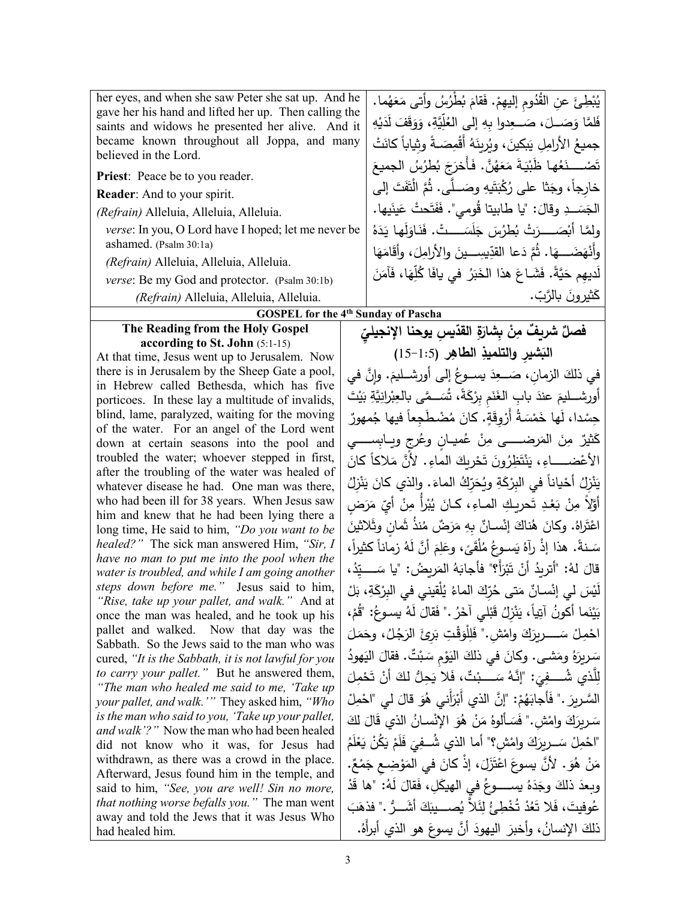| her eyes, and when she saw Peter she sat up. And he<br>gave her his hand and lifted her up. Then calling the<br>saints and widows he presented her alive. And it<br>became known throughout all Joppa, and many<br>believed in the Lord.<br>Priest: Peace be to you reader.<br><b>Reader:</b> And to your spirit.<br>(Refrain) Alleluia, Alleluia, Alleluia.<br>verse: In you, O Lord have I hoped; let me never be<br>ashamed. (Psalm 30:1a)<br>(Refrain) Alleluia, Alleluia, Alleluia.<br>verse: Be my God and protector. (Psalm 30:1b)<br>(Refrain) Alleluia, Alleluia, Alleluia. | يُبْطِئَ عنِ القُدُومِ إليهِمْ. فَقامَ بُطْرُسُ وأتى مَعَهُما.<br>فَلمَّا وَصَــلَ، صَـــعِدوا بِهِ إلى العُلِّيَّةِ، وَوَقَفَ لَدَيْهِ<br>جميعُ الأرامِلِ يَبكينَ، ويُرِينَهُ أَقْمِصَـةً وثياباً كانَتْ<br>تَصْـــــذَهُها ظَبْيَـةَ مَعَهُنَّ. فَأَخرَجَ بُطرُسُ الجميعَ<br>خارِجاً، وجَثا على رُكْبَتَيهِ وصَــلَّى. ثُمَّ الْثَفَتَ إلى<br>الجَسَــدِ وقالَ: "يا طابيتا قُومي". فَفَتَحتْ عَينَيها.<br>ولِمَّا أَبْصَـــرَتْ بُطْرُسَ جَلَسَـــتْ. فَنَاوَلَها يَدَهُ<br>وأَنْهَضَـــهَا. ثُمَّ دَعا القدِّيسِـــينَ والأرامِلَ، وأقَامَهَا<br>لَديهم حَيَّةً. فَشَـاعَ هذا الخَبَرُ في يافَا كُلِّهَا، فَآمَنَ<br>كَثيرونَ بالرَّبِّ. |  |
|--------------------------------------------------------------------------------------------------------------------------------------------------------------------------------------------------------------------------------------------------------------------------------------------------------------------------------------------------------------------------------------------------------------------------------------------------------------------------------------------------------------------------------------------------------------------------------------|---------------------------------------------------------------------------------------------------------------------------------------------------------------------------------------------------------------------------------------------------------------------------------------------------------------------------------------------------------------------------------------------------------------------------------------------------------------------------------------------------------------------------------------------------------------------------------------------------------------------------------------------|--|
| The Reading from the Holy Gospel                                                                                                                                                                                                                                                                                                                                                                                                                                                                                                                                                     | <b>GOSPEL for the 4th Sunday of Pascha</b>                                                                                                                                                                                                                                                                                                                                                                                                                                                                                                                                                                                                  |  |
| according to St. John (5:1-15)                                                                                                                                                                                                                                                                                                                                                                                                                                                                                                                                                       | فصلٌ شريفٌ مِنْ بِشارَةِ القدّيسِ يوحنا الإنجيليّ                                                                                                                                                                                                                                                                                                                                                                                                                                                                                                                                                                                           |  |
| At that time, Jesus went up to Jerusalem. Now                                                                                                                                                                                                                                                                                                                                                                                                                                                                                                                                        | النبشير والتلميذِ الطاهِرِ (1:5-15)                                                                                                                                                                                                                                                                                                                                                                                                                                                                                                                                                                                                         |  |
| there is in Jerusalem by the Sheep Gate a pool,<br>in Hebrew called Bethesda, which has five                                                                                                                                                                                                                                                                                                                                                                                                                                                                                         | في ذلكَ الزمانِ، صَـــعِدَ يســوعُ إلى أورشــليمَ. وإنَّ في                                                                                                                                                                                                                                                                                                                                                                                                                                                                                                                                                                                 |  |
| porticoes. In these lay a multitude of invalids,                                                                                                                                                                                                                                                                                                                                                                                                                                                                                                                                     | أُورشـــليمَ عندَ بابِ الغَنَم بِرْكَةً، تُسَــمَّى بالعِبْرانِيَّةِ بَيْتَ                                                                                                                                                                                                                                                                                                                                                                                                                                                                                                                                                                 |  |
| blind, lame, paralyzed, waiting for the moving                                                                                                                                                                                                                                                                                                                                                                                                                                                                                                                                       | حِسْدا، لَها خَمْسَةُ أَرْوِقَةٍ. كانَ مُضْطَجِعاً فيها جُمهورٌ                                                                                                                                                                                                                                                                                                                                                                                                                                                                                                                                                                             |  |
| of the water. For an angel of the Lord went<br>down at certain seasons into the pool and                                                                                                                                                                                                                                                                                                                                                                                                                                                                                             | كَثيرٌ مِنَ المَرضـــــى مِنْ عُميــان وعُرج ويــابِســـــى                                                                                                                                                                                                                                                                                                                                                                                                                                                                                                                                                                                 |  |
| troubled the water; whoever stepped in first,                                                                                                                                                                                                                                                                                                                                                                                                                                                                                                                                        | الأعْضــــــاءِ، يَنْتَظِرُونَ تَحْرِيكَ الماءِ. لأنَّ مَلاكاً كانَ                                                                                                                                                                                                                                                                                                                                                                                                                                                                                                                                                                         |  |
| after the troubling of the water was healed of                                                                                                                                                                                                                                                                                                                                                                                                                                                                                                                                       | يَنْزِلُ أَحْياناً في البِرْكَةِ ويُحَرِّكُ الماءَ. والذي كانَ يَنْزِلُ                                                                                                                                                                                                                                                                                                                                                                                                                                                                                                                                                                     |  |
| whatever disease he had. One man was there,<br>who had been ill for 38 years. When Jesus saw                                                                                                                                                                                                                                                                                                                                                                                                                                                                                         | أَوَّلاً مِنْ بَعْدِ تَحريكِ المـاءِ، كـانَ يُبْرأ مِنْ أَيِّ مَرَضِ                                                                                                                                                                                                                                                                                                                                                                                                                                                                                                                                                                        |  |
| him and knew that he had been lying there a                                                                                                                                                                                                                                                                                                                                                                                                                                                                                                                                          |                                                                                                                                                                                                                                                                                                                                                                                                                                                                                                                                                                                                                                             |  |
| long time, He said to him, "Do you want to be<br>healed?" The sick man answered Him, "Sir, I                                                                                                                                                                                                                                                                                                                                                                                                                                                                                         | اعْتَراهُ. وكانَ هُناكَ إنْسـانٌ بِهِ مَرَضٌ مُنذُ ثَمانٍ وثَلاثينَ                                                                                                                                                                                                                                                                                                                                                                                                                                                                                                                                                                         |  |
| have no man to put me into the pool when the                                                                                                                                                                                                                                                                                                                                                                                                                                                                                                                                         | سَـنةً. هذا إذْ رآهُ يَسـوعُ مُلْقَىً، وعَلِمَ أَنَّ لَهُ زماناً كثيراً،                                                                                                                                                                                                                                                                                                                                                                                                                                                                                                                                                                    |  |
| water is troubled, and while I am going another                                                                                                                                                                                                                                                                                                                                                                                                                                                                                                                                      | قالَ لهُ: "أَترِيدُ أَنْ تَبْرَأُ؟" فأجابَهُ المَرِيضُ: "يا سَــــيّدُ،                                                                                                                                                                                                                                                                                                                                                                                                                                                                                                                                                                     |  |
| steps down before me." Jesus said to him,<br>"Rise, take up your pallet, and walk." And at                                                                                                                                                                                                                                                                                                                                                                                                                                                                                           | لَيْسَ لي إِنْسانٌ مَتي حُرّكَ الماءُ يُلْقيني في البِرْكَةِ، بَلْ                                                                                                                                                                                                                                                                                                                                                                                                                                                                                                                                                                          |  |
| once the man was healed, and he took up his                                                                                                                                                                                                                                                                                                                                                                                                                                                                                                                                          | بَيْنَما أَكُونُ آتِياً، يَنْزِلُ قَبْلَى آخَرُ ." فَقالَ لَهُ يسوعُ: "قُمْ،                                                                                                                                                                                                                                                                                                                                                                                                                                                                                                                                                                |  |
| pallet and walked. Now that day was the<br>Sabbath. So the Jews said to the man who was                                                                                                                                                                                                                                                                                                                                                                                                                                                                                              | احْمِلْ سَـــــرِيزَكَ وامْش." فَلِلْوَقْتِ بَرِئَ الرَجُلُ، وحَمَلَ                                                                                                                                                                                                                                                                                                                                                                                                                                                                                                                                                                        |  |
| cured, "It is the Sabbath, it is not lawful for you                                                                                                                                                                                                                                                                                                                                                                                                                                                                                                                                  | سَرِيرَهُ ومَشـى. وكانَ في ذلكَ اليَوْمِ سَبْتٌ. فقالَ اليَهودُ                                                                                                                                                                                                                                                                                                                                                                                                                                                                                                                                                                             |  |
| to carry your pallet." But he answered them,                                                                                                                                                                                                                                                                                                                                                                                                                                                                                                                                         | لِلَّذي شُـــفِيَ: "إِنَّهُ سَـــبْتٌ، فَلا يَحِلُّ لَكَ أَنْ تَحْمِلَ                                                                                                                                                                                                                                                                                                                                                                                                                                                                                                                                                                      |  |
| "The man who healed me said to me, 'Take up<br>your pallet, and walk.'" They asked him, "Who                                                                                                                                                                                                                                                                                                                                                                                                                                                                                         | السَّرِيرَ ." فَأَجابَهُمْ: "إِنَّ الذي أَبْرَأَنِي هُوَ قَالَ لَي "احْمِلْ                                                                                                                                                                                                                                                                                                                                                                                                                                                                                                                                                                 |  |
| is the man who said to you, 'Take up your pallet,                                                                                                                                                                                                                                                                                                                                                                                                                                                                                                                                    | سَرِيرَكَ وامْش." فَسَأَلُوهُ مَنْ هُوَ الإِنْسانُ الذي قَالَ لَكَ                                                                                                                                                                                                                                                                                                                                                                                                                                                                                                                                                                          |  |
| and walk'?" Now the man who had been healed<br>did not know who it was, for Jesus had                                                                                                                                                                                                                                                                                                                                                                                                                                                                                                | "احْمِلْ سَــربِرَكَ وامْشِ؟" أما الذي شُــفِيَ فَلَمْ يَكُنْ يَعْلَمُ                                                                                                                                                                                                                                                                                                                                                                                                                                                                                                                                                                      |  |
| withdrawn, as there was a crowd in the place.                                                                                                                                                                                                                                                                                                                                                                                                                                                                                                                                        | مَنْ هُوَ . لأَنَّ يسوعَ اعْتَزَلَ، إذْ كانَ في المَوْضِعِ جَمْعٌ.                                                                                                                                                                                                                                                                                                                                                                                                                                                                                                                                                                          |  |
| Afterward, Jesus found him in the temple, and<br>said to him, "See, you are well! Sin no more,                                                                                                                                                                                                                                                                                                                                                                                                                                                                                       | وبِعدَ ذلكَ وجَدَهُ يســـــوعُ في الهيكَلِ، فَقالَ لَهُ: "ها قَدْ                                                                                                                                                                                                                                                                                                                                                                                                                                                                                                                                                                           |  |
| <i>that nothing worse befalls you.</i> " The man went                                                                                                                                                                                                                                                                                                                                                                                                                                                                                                                                | عُوفيتَ، فَلا تَعُدْ تُخْطِئُ لِئَلاً يُصــــيبَكَ أَشَـــرٌ ." فذهَبَ                                                                                                                                                                                                                                                                                                                                                                                                                                                                                                                                                                      |  |
| away and told the Jews that it was Jesus Who                                                                                                                                                                                                                                                                                                                                                                                                                                                                                                                                         | ذلكَ الإنسانُ، وأخبرَ  اليهودَ  أنَّ يسوعَ هو  الذي  أبرأهُ.                                                                                                                                                                                                                                                                                                                                                                                                                                                                                                                                                                                |  |
| had healed him.                                                                                                                                                                                                                                                                                                                                                                                                                                                                                                                                                                      |                                                                                                                                                                                                                                                                                                                                                                                                                                                                                                                                                                                                                                             |  |